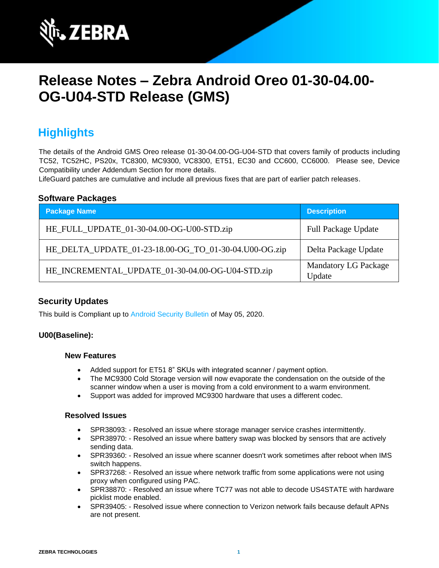

# **Release Notes – Zebra Android Oreo 01-30-04.00- OG-U04-STD Release (GMS)**

## **Highlights**

The details of the Android GMS Oreo release 01-30-04.00-OG-U04-STD that covers family of products including TC52, TC52HC, PS20x, TC8300, MC9300, VC8300, ET51, EC30 and CC600, CC6000. Please see, Device Compatibility under Addendum Section for more details.

LifeGuard patches are cumulative and include all previous fixes that are part of earlier patch releases.

#### **Software Packages**

| <b>Package Name</b>                                   | <b>Description</b>                    |
|-------------------------------------------------------|---------------------------------------|
| HE_FULL_UPDATE_01-30-04.00-OG-U00-STD.zip             | <b>Full Package Update</b>            |
| HE_DELTA_UPDATE_01-23-18.00-OG_TO_01-30-04.U00-OG.zip | Delta Package Update                  |
| HE_INCREMENTAL_UPDATE_01-30-04.00-OG-U04-STD.zip      | <b>Mandatory LG Package</b><br>Update |

#### **Security Updates**

This build is Compliant up to [Android Security Bulletin](https://source.android.com/security/bulletin/) of May 05, 2020.

#### **U00(Baseline):**

#### **New Features**

- Added support for ET51 8" SKUs with integrated scanner / payment option.
- The MC9300 Cold Storage version will now evaporate the condensation on the outside of the scanner window when a user is moving from a cold environment to a warm environment.
- Support was added for improved MC9300 hardware that uses a different codec.

#### **Resolved Issues**

- SPR38093: Resolved an issue where storage manager service crashes intermittently.
- SPR38970: Resolved an issue where battery swap was blocked by sensors that are actively sending data.
- SPR39360: Resolved an issue where scanner doesn't work sometimes after reboot when IMS switch happens.
- SPR37268: Resolved an issue where network traffic from some applications were not using proxy when configured using PAC.
- SPR38870: Resolved an issue where TC77 was not able to decode US4STATE with hardware picklist mode enabled.
- SPR39405: Resolved issue where connection to Verizon network fails because default APNs are not present.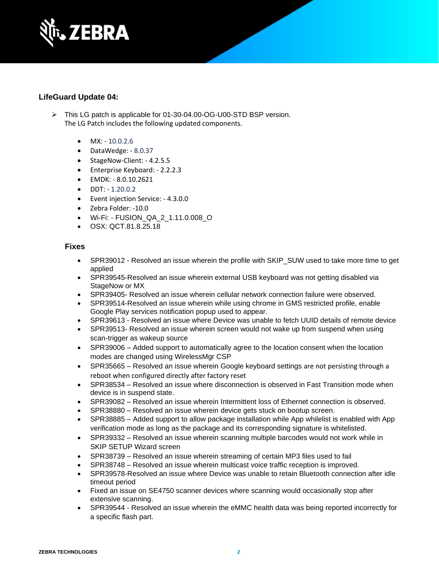

## **LifeGuard Update 04:**

- ➢ This LG patch is applicable for 01-30-04.00-OG-U00-STD BSP version. The LG Patch includes the following updated components.
	- $MX: -10.0.2.6$
	- DataWedge: 8.0.37
	- StageNow-Client: 4.2.5.5
	- Enterprise Keyboard: 2.2.2.3
	- EMDK: 8.0.10.2621
	- DDT: 1.20.0.2
	- Event injection Service: 4.3.0.0
	- Zebra Folder: -10.0
	- Wi-Fi: FUSION\_QA\_2\_1.11.0.008\_O
	- OSX: QCT.81.8.25.18

### **Fixes**

- SPR39012 Resolved an issue wherein the profile with SKIP\_SUW used to take more time to get applied
- SPR39545-Resolved an issue wherein external USB keyboard was not getting disabled via StageNow or MX
- SPR39405- Resolved an issue wherein cellular network connection failure were observed.
- SPR39514-Resolved an issue wherein while using chrome in GMS restricted profile, enable Google Play services notification popup used to appear.
- SPR39613 Resolved an issue where Device was unable to fetch UUID details of remote device
- SPR39513- Resolved an issue wherein screen would not wake up from suspend when using scan-trigger as wakeup source
- SPR39006 Added support to automatically agree to the location consent when the location modes are changed using WirelessMgr CSP
- SPR35665 Resolved an issue wherein Google keyboard settings are not persisting through a reboot when configured directly after factory reset
- SPR38534 Resolved an issue where disconnection is observed in Fast Transition mode when device is in suspend state.
- SPR39082 Resolved an issue wherein Intermittent loss of Ethernet connection is observed.
- SPR38880 Resolved an issue wherein device gets stuck on bootup screen.
- SPR38885 Added support to allow package installation while App whilelist is enabled with App verification mode as long as the package and its corresponding signature is whitelisted.
- SPR39332 Resolved an issue wherein scanning multiple barcodes would not work while in SKIP SETUP Wizard screen
- SPR38739 Resolved an issue wherein streaming of certain MP3 files used to fail
- SPR38748 Resolved an issue wherein multicast voice traffic reception is improved.
- SPR39578-Resolved an issue where Device was unable to retain Bluetooth connection after idle timeout period
- Fixed an issue on SE4750 scanner devices where scanning would occasionally stop after extensive scanning.
- SPR39544 Resolved an issue wherein the eMMC health data was being reported incorrectly for a specific flash part.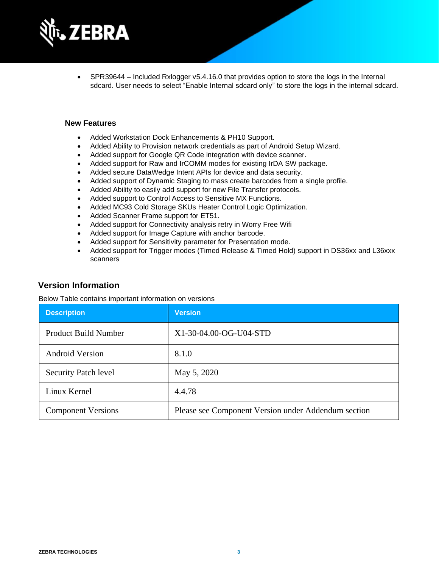

• SPR39644 – Included Rxlogger v5.4.16.0 that provides option to store the logs in the Internal sdcard. User needs to select "Enable Internal sdcard only" to store the logs in the internal sdcard.

#### **New Features**

- Added Workstation Dock Enhancements & PH10 Support.
- Added Ability to Provision network credentials as part of Android Setup Wizard.
- Added support for Google QR Code integration with device scanner.
- Added support for Raw and IrCOMM modes for existing IrDA SW package.
- Added secure DataWedge Intent APIs for device and data security.
- Added support of Dynamic Staging to mass create barcodes from a single profile.
- Added Ability to easily add support for new File Transfer protocols.
- Added support to Control Access to Sensitive MX Functions.
- Added MC93 Cold Storage SKUs Heater Control Logic Optimization.
- Added Scanner Frame support for ET51.
- Added support for Connectivity analysis retry in Worry Free Wifi
- Added support for Image Capture with anchor barcode.
- Added support for Sensitivity parameter for Presentation mode.
- Added support for Trigger modes (Timed Release & Timed Hold) support in DS36xx and L36xxx scanners

#### **Version Information**

Below Table contains important information on versions

| <b>Description</b>          | <b>Version</b>                                      |
|-----------------------------|-----------------------------------------------------|
| <b>Product Build Number</b> | X1-30-04.00-OG-U04-STD                              |
| <b>Android Version</b>      | 8.1.0                                               |
| <b>Security Patch level</b> | May 5, 2020                                         |
| Linux Kernel                | 4.4.78                                              |
| <b>Component Versions</b>   | Please see Component Version under Addendum section |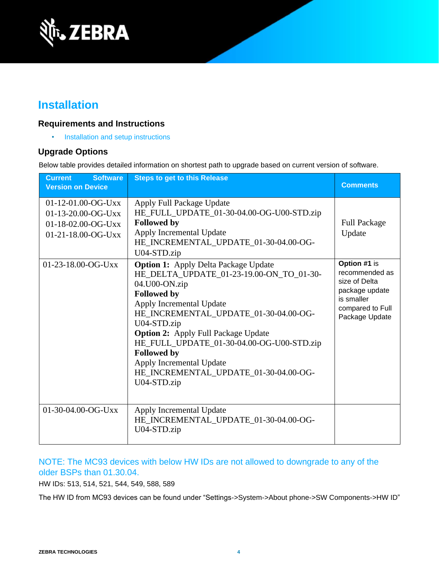

## **Installation**

#### **Requirements and Instructions**

• [Installation and setup instructions](https://www.zebra.com/content/dam/zebra_new_ia/en-us/software/operating-system/helios/oreo-os-update-instructions.pdf)

### **Upgrade Options**

Below table provides detailed information on shortest path to upgrade based on current version of software.

| <b>Software</b><br><b>Current</b><br><b>Version on Device</b>                          | <b>Steps to get to this Release</b>                                                                                                                                                                                                                                                                                                                                                                                     | <b>Comments</b>                                                                                                       |
|----------------------------------------------------------------------------------------|-------------------------------------------------------------------------------------------------------------------------------------------------------------------------------------------------------------------------------------------------------------------------------------------------------------------------------------------------------------------------------------------------------------------------|-----------------------------------------------------------------------------------------------------------------------|
| $01-12-01.00-OG-Uxx$<br>01-13-20.00-OG-Uxx<br>01-18-02.00-OG-Uxx<br>01-21-18.00-OG-Uxx | Apply Full Package Update<br>HE_FULL_UPDATE_01-30-04.00-OG-U00-STD.zip<br><b>Followed by</b><br>Apply Incremental Update<br>HE_INCREMENTAL_UPDATE_01-30-04.00-OG-<br>U04-STD.zip                                                                                                                                                                                                                                        | <b>Full Package</b><br>Update                                                                                         |
| 01-23-18.00-OG-Uxx                                                                     | <b>Option 1: Apply Delta Package Update</b><br>HE_DELTA_UPDATE_01-23-19.00-ON_TO_01-30-<br>04.U00-ON.zip<br><b>Followed by</b><br>Apply Incremental Update<br>HE_INCREMENTAL_UPDATE_01-30-04.00-OG-<br>U04-STD.zip<br><b>Option 2:</b> Apply Full Package Update<br>HE_FULL_UPDATE_01-30-04.00-OG-U00-STD.zip<br><b>Followed by</b><br>Apply Incremental Update<br>HE_INCREMENTAL_UPDATE_01-30-04.00-OG-<br>U04-STD.zip | Option #1 is<br>recommended as<br>size of Delta<br>package update<br>is smaller<br>compared to Full<br>Package Update |
| 01-30-04.00-OG-Uxx                                                                     | Apply Incremental Update<br>HE_INCREMENTAL_UPDATE_01-30-04.00-OG-<br>U04-STD.zip                                                                                                                                                                                                                                                                                                                                        |                                                                                                                       |

### NOTE: The MC93 devices with below HW IDs are not allowed to downgrade to any of the older BSPs than 01.30.04.

HW IDs: 513, 514, 521, 544, 549, 588, 589

The HW ID from MC93 devices can be found under "Settings->System->About phone->SW Components->HW ID"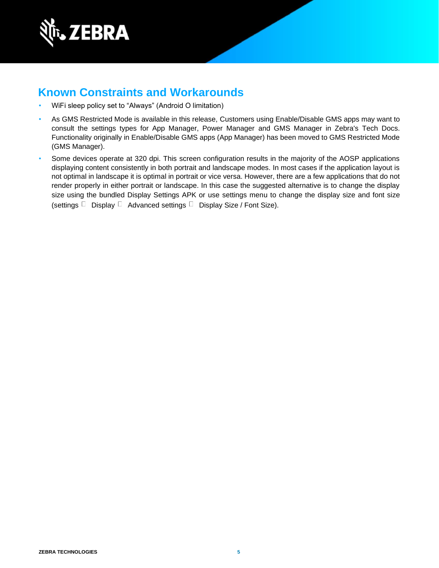

## **Known Constraints and Workarounds**

- WiFi sleep policy set to "Always" (Android O limitation)
- As GMS Restricted Mode is available in this release, Customers using Enable/Disable GMS apps may want to consult the settings types for App Manager, Power Manager and GMS Manager in Zebra's Tech Docs. Functionality originally in Enable/Disable GMS apps (App Manager) has been moved to GMS Restricted Mode (GMS Manager).
- Some devices operate at 320 dpi. This screen configuration results in the majority of the AOSP applications displaying content consistently in both portrait and landscape modes. In most cases if the application layout is not optimal in landscape it is optimal in portrait or vice versa. However, there are a few applications that do not render properly in either portrait or landscape. In this case the suggested alternative is to change the display size using the bundled Display Settings APK or use settings menu to change the display size and font size (settings  $\Box$  Display  $\Box$  Advanced settings  $\Box$  Display Size / Font Size).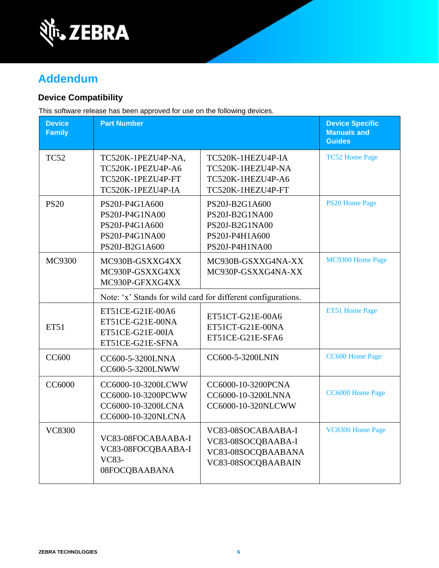

## **Addendum**

### **Device Compatibility**

This software release has been approved for use on the following devices.

| <b>Device</b><br><b>Family</b> | <b>Part Number</b>                                                                     |                                                                                        | <b>Device Specific</b><br><b>Manuals and</b><br><b>Guides</b> |
|--------------------------------|----------------------------------------------------------------------------------------|----------------------------------------------------------------------------------------|---------------------------------------------------------------|
| <b>TC52</b>                    | TC520K-1PEZU4P-NA,<br>TC520K-1PEZU4P-A6<br>TC520K-1PEZU4P-FT<br>TC520K-1PEZU4P-IA      | TC520K-1HEZU4P-IA<br>TC520K-1HEZU4P-NA<br>TC520K-1HEZU4P-A6<br>TC520K-1HEZU4P-FT       | <b>TC52 Home Page</b>                                         |
| <b>PS20</b>                    | PS20J-P4G1A600<br>PS20J-P4G1NA00<br>PS20J-P4G1A600<br>PS20J-P4G1NA00<br>PS20J-B2G1A600 | PS20J-B2G1A600<br>PS20J-B2G1NA00<br>PS20J-B2G1NA00<br>PS20J-P4H1A600<br>PS20J-P4H1NA00 | <b>PS20 Home Page</b>                                         |
| MC9300                         | MC930B-GSXXG4XX<br>MC930P-GSXXG4XX<br>MC930P-GFXXG4XX                                  | MC930B-GSXXG4NA-XX<br>MC930P-GSXXG4NA-XX                                               | MC9300 Home Page                                              |
|                                | Note: 'x' Stands for wild card for different configurations.                           |                                                                                        |                                                               |
| <b>ET51</b>                    | ET51CE-G21E-00A6<br>ET51CE-G21E-00NA<br>ET51CE-G21E-00IA<br>ET51CE-G21E-SFNA           | ET51CT-G21E-00A6<br>ET51CT-G21E-00NA<br>ET51CE-G21E-SFA6                               | ET51 Home Page                                                |
| <b>CC600</b>                   | CC600-5-3200LNNA<br>CC600-5-3200LNWW                                                   | CC600-5-3200LNIN                                                                       | CC600 Home Page                                               |
| <b>CC6000</b>                  | CC6000-10-3200LCWW<br>CC6000-10-3200PCWW<br>CC6000-10-3200LCNA<br>CC6000-10-320NLCNA   | CC6000-10-3200PCNA<br>CC6000-10-3200LNNA<br>CC6000-10-320NLCWW                         | CC6000 Home Page                                              |
| <b>VC8300</b>                  | VC83-08FOCABAABA-I<br>VC83-08FOCQBAABA-I<br><b>VC83-</b><br>08FOCQBAABANA              | VC83-08SOCABAABA-I<br>VC83-08SOCQBAABA-I<br>VC83-08SOCQBAABANA<br>VC83-08SOCQBAABAIN   | VC8300 Home Page                                              |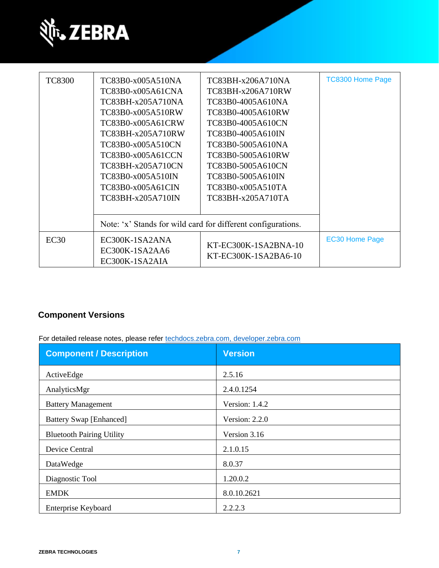

| <b>TC8300</b> | TC83B0-x005A510NA<br>TC83B0-x005A61CNA<br>TC83BH-x205A710NA<br>TC83B0-x005A510RW<br>TC83B0-x005A61CRW<br>TC83BH-x205A710RW<br>TC83B0-x005A510CN<br>TC83B0-x005A61CCN<br>TC83BH-x205A710CN<br>TC83B0-x005A510IN<br>TC83B0-x005A61CIN<br>TC83BH-x205A710IN | TC83BH-x206A710NA<br>TC83BH-x206A710RW<br>TC83B0-4005A610NA<br>TC83B0-4005A610RW<br>TC83B0-4005A610CN<br>TC83B0-4005A610IN<br>TC83B0-5005A610NA<br>TC83B0-5005A610RW<br>TC83B0-5005A610CN<br>TC83B0-5005A610IN<br>TC83B0-x005A510TA<br>TC83BH-x205A710TA | <b>TC8300 Home Page</b> |
|---------------|----------------------------------------------------------------------------------------------------------------------------------------------------------------------------------------------------------------------------------------------------------|----------------------------------------------------------------------------------------------------------------------------------------------------------------------------------------------------------------------------------------------------------|-------------------------|
|               | Note: 'x' Stands for wild card for different configurations.                                                                                                                                                                                             |                                                                                                                                                                                                                                                          |                         |
| EC30          | EC300K-1SA2ANA<br>EC300K-1SA2AA6<br>EC300K-1SA2AIA                                                                                                                                                                                                       | $KT$ -EC300K-1SA2BNA-10<br>KT-EC300K-1SA2BA6-10                                                                                                                                                                                                          | <b>EC30 Home Page</b>   |

## **Component Versions**

For detailed release notes, please refer [techdocs.zebra.com,](https://techdocs.zebra.com/) [developer.zebra.com](https://developer.zebra.com/)

| <b>Component / Description</b>   | <b>Version</b>   |
|----------------------------------|------------------|
| ActiveEdge                       | 2.5.16           |
| AnalyticsMgr                     | 2.4.0.1254       |
| <b>Battery Management</b>        | Version: 1.4.2   |
| <b>Battery Swap [Enhanced]</b>   | Version: $2.2.0$ |
| <b>Bluetooth Pairing Utility</b> | Version 3.16     |
| Device Central                   | 2.1.0.15         |
| DataWedge                        | 8.0.37           |
| Diagnostic Tool                  | 1.20.0.2         |
| <b>EMDK</b>                      | 8.0.10.2621      |
| Enterprise Keyboard              | 2.2.2.3          |